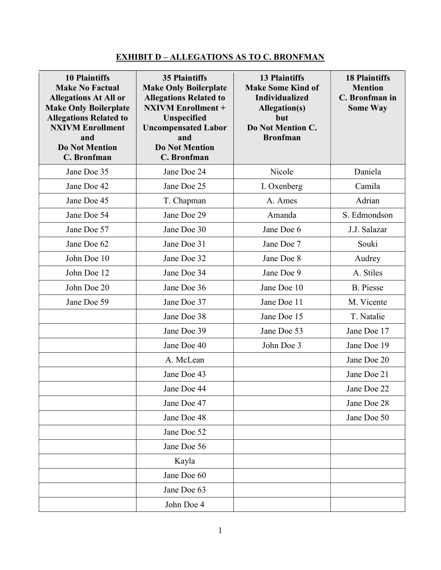## EXHIBIT D – ALLEGATIONS AS TO C. BRONFMAN

| <b>10 Plaintiffs</b><br><b>Make No Factual</b><br><b>Allegations At All or</b><br><b>Make Only Boilerplate</b><br><b>Allegations Related to</b><br><b>NXIVM Enrollment</b><br>and<br><b>Do Not Mention</b><br><b>C.</b> Bronfman | <b>35 Plaintiffs</b><br><b>Make Only Boilerplate</b><br><b>Allegations Related to</b><br><b>NXIVM Enrollment +</b><br><b>Unspecified</b><br><b>Uncompensated Labor</b><br>and<br><b>Do Not Mention</b><br>C. Bronfman | <b>13 Plaintiffs</b><br><b>Make Some Kind of</b><br><b>Individualized</b><br><b>Allegation(s)</b><br>but<br>Do Not Mention C.<br><b>Bronfman</b> | <b>18 Plaintiffs</b><br><b>Mention</b><br>C. Bronfman in<br><b>Some Way</b> |
|----------------------------------------------------------------------------------------------------------------------------------------------------------------------------------------------------------------------------------|-----------------------------------------------------------------------------------------------------------------------------------------------------------------------------------------------------------------------|--------------------------------------------------------------------------------------------------------------------------------------------------|-----------------------------------------------------------------------------|
| Jane Doe 35                                                                                                                                                                                                                      | Jane Doe 24                                                                                                                                                                                                           | Nicole                                                                                                                                           | Daniela                                                                     |
| Jane Doe 42                                                                                                                                                                                                                      | Jane Doe 25                                                                                                                                                                                                           | I. Oxenberg                                                                                                                                      | Camila                                                                      |
| Jane Doe 45                                                                                                                                                                                                                      | T. Chapman                                                                                                                                                                                                            | A. Ames                                                                                                                                          | Adrian                                                                      |
| Jane Doe 54                                                                                                                                                                                                                      | Jane Doe 29                                                                                                                                                                                                           | Amanda                                                                                                                                           | S. Edmondson                                                                |
| Jane Doe 57                                                                                                                                                                                                                      | Jane Doe 30                                                                                                                                                                                                           | Jane Doe 6                                                                                                                                       | J.J. Salazar                                                                |
| Jane Doe 62                                                                                                                                                                                                                      | Jane Doe 31                                                                                                                                                                                                           | Jane Doe 7                                                                                                                                       | Souki                                                                       |
| John Doe 10                                                                                                                                                                                                                      | Jane Doe 32                                                                                                                                                                                                           | Jane Doe 8                                                                                                                                       | Audrey                                                                      |
| John Doe 12                                                                                                                                                                                                                      | Jane Doe 34                                                                                                                                                                                                           | Jane Doe 9                                                                                                                                       | A. Stiles                                                                   |
| John Doe 20                                                                                                                                                                                                                      | Jane Doe 36                                                                                                                                                                                                           | Jane Doe 10                                                                                                                                      | <b>B.</b> Piesse                                                            |
| Jane Doe 59                                                                                                                                                                                                                      | Jane Doe 37                                                                                                                                                                                                           | Jane Doe 11                                                                                                                                      | M. Vicente                                                                  |
|                                                                                                                                                                                                                                  | Jane Doe 38                                                                                                                                                                                                           | Jane Doe 15                                                                                                                                      | T. Natalie                                                                  |
|                                                                                                                                                                                                                                  | Jane Doe 39                                                                                                                                                                                                           | Jane Doe 53                                                                                                                                      | Jane Doe 17                                                                 |
|                                                                                                                                                                                                                                  | Jane Doe 40                                                                                                                                                                                                           | John Doe 3                                                                                                                                       | Jane Doe 19                                                                 |
|                                                                                                                                                                                                                                  | A. McLean                                                                                                                                                                                                             |                                                                                                                                                  | Jane Doe 20                                                                 |
|                                                                                                                                                                                                                                  | Jane Doe 43                                                                                                                                                                                                           |                                                                                                                                                  | Jane Doe 21                                                                 |
|                                                                                                                                                                                                                                  | Jane Doe 44                                                                                                                                                                                                           |                                                                                                                                                  | Jane Doe 22                                                                 |
|                                                                                                                                                                                                                                  | Jane Doe 47                                                                                                                                                                                                           |                                                                                                                                                  | Jane Doe 28                                                                 |
|                                                                                                                                                                                                                                  | Jane Doe 48                                                                                                                                                                                                           |                                                                                                                                                  | Jane Doe 50                                                                 |
|                                                                                                                                                                                                                                  | Jane Doe 52                                                                                                                                                                                                           |                                                                                                                                                  |                                                                             |
|                                                                                                                                                                                                                                  | Jane Doe 56                                                                                                                                                                                                           |                                                                                                                                                  |                                                                             |
|                                                                                                                                                                                                                                  | Kayla                                                                                                                                                                                                                 |                                                                                                                                                  |                                                                             |
|                                                                                                                                                                                                                                  | Jane Doe 60                                                                                                                                                                                                           |                                                                                                                                                  |                                                                             |
|                                                                                                                                                                                                                                  | Jane Doe 63                                                                                                                                                                                                           |                                                                                                                                                  |                                                                             |
|                                                                                                                                                                                                                                  | John Doe 4                                                                                                                                                                                                            |                                                                                                                                                  |                                                                             |